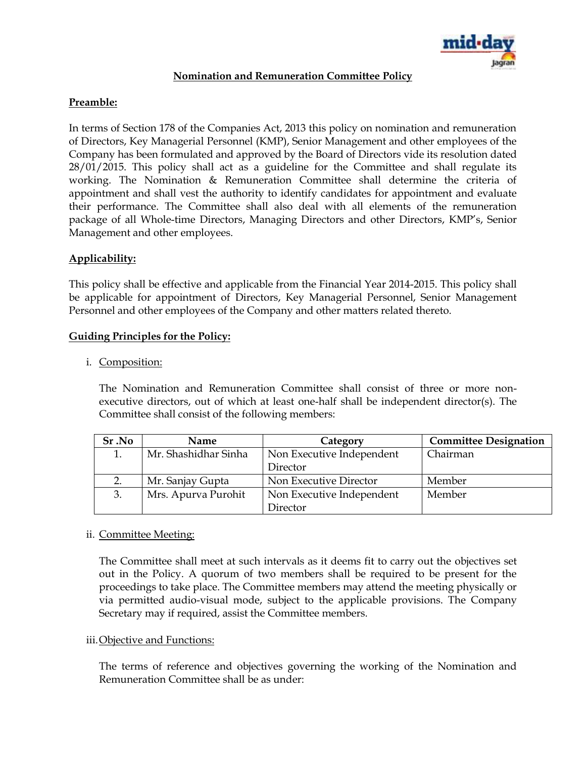

# **Nomination and Remuneration Committee Policy**

# **Preamble:**

In terms of Section 178 of the Companies Act, 2013 this policy on nomination and remuneration of Directors, Key Managerial Personnel (KMP), Senior Management and other employees of the Company has been formulated and approved by the Board of Directors vide its resolution dated 28/01/2015. This policy shall act as a guideline for the Committee and shall regulate its working. The Nomination & Remuneration Committee shall determine the criteria of appointment and shall vest the authority to identify candidates for appointment and evaluate their performance. The Committee shall also deal with all elements of the remuneration package of all Whole-time Directors, Managing Directors and other Directors, KMP's, Senior Management and other employees.

# **Applicability:**

This policy shall be effective and applicable from the Financial Year 2014-2015. This policy shall be applicable for appointment of Directors, Key Managerial Personnel, Senior Management Personnel and other employees of the Company and other matters related thereto.

### **Guiding Principles for the Policy:**

i. Composition:

The Nomination and Remuneration Committee shall consist of three or more nonexecutive directors, out of which at least one-half shall be independent director(s). The Committee shall consist of the following members:

| Sr.No | Name                 | Category                  | <b>Committee Designation</b> |
|-------|----------------------|---------------------------|------------------------------|
|       | Mr. Shashidhar Sinha | Non Executive Independent | Chairman                     |
|       |                      | Director                  |                              |
|       | Mr. Sanjay Gupta     | Non Executive Director    | Member                       |
| 3.    | Mrs. Apurva Purohit  | Non Executive Independent | Member                       |
|       |                      | Director                  |                              |

### ii. Committee Meeting:

The Committee shall meet at such intervals as it deems fit to carry out the objectives set out in the Policy. A quorum of two members shall be required to be present for the proceedings to take place. The Committee members may attend the meeting physically or via permitted audio-visual mode, subject to the applicable provisions. The Company Secretary may if required, assist the Committee members.

### iii.Objective and Functions:

The terms of reference and objectives governing the working of the Nomination and Remuneration Committee shall be as under: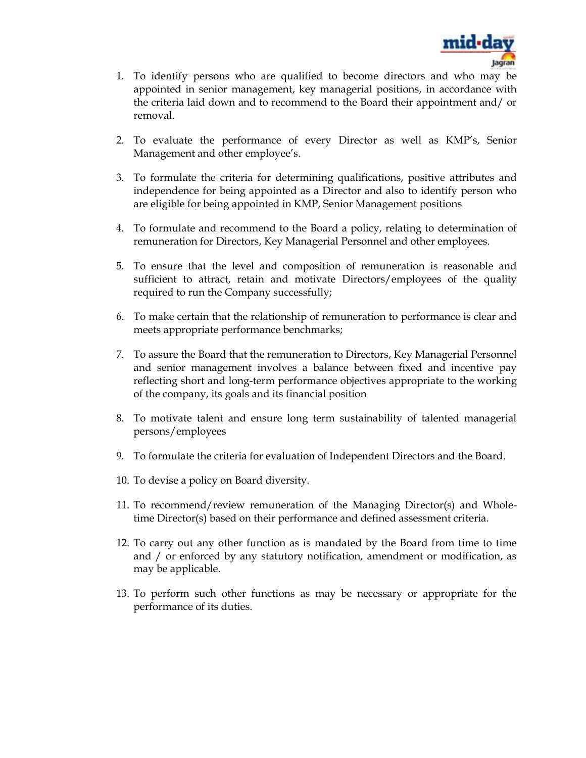

- 1. To identify persons who are qualified to become directors and who may be appointed in senior management, key managerial positions, in accordance with the criteria laid down and to recommend to the Board their appointment and/ or removal.
- 2. To evaluate the performance of every Director as well as KMP's, Senior Management and other employee's.
- 3. To formulate the criteria for determining qualifications, positive attributes and independence for being appointed as a Director and also to identify person who are eligible for being appointed in KMP, Senior Management positions
- 4. To formulate and recommend to the Board a policy, relating to determination of remuneration for Directors, Key Managerial Personnel and other employees.
- 5. To ensure that the level and composition of remuneration is reasonable and sufficient to attract, retain and motivate Directors/employees of the quality required to run the Company successfully;
- 6. To make certain that the relationship of remuneration to performance is clear and meets appropriate performance benchmarks;
- 7. To assure the Board that the remuneration to Directors, Key Managerial Personnel and senior management involves a balance between fixed and incentive pay reflecting short and long-term performance objectives appropriate to the working of the company, its goals and its financial position
- 8. To motivate talent and ensure long term sustainability of talented managerial persons/employees
- 9. To formulate the criteria for evaluation of Independent Directors and the Board.
- 10. To devise a policy on Board diversity.
- 11. To recommend/review remuneration of the Managing Director(s) and Wholetime Director(s) based on their performance and defined assessment criteria.
- 12. To carry out any other function as is mandated by the Board from time to time and / or enforced by any statutory notification, amendment or modification, as may be applicable.
- 13. To perform such other functions as may be necessary or appropriate for the performance of its duties.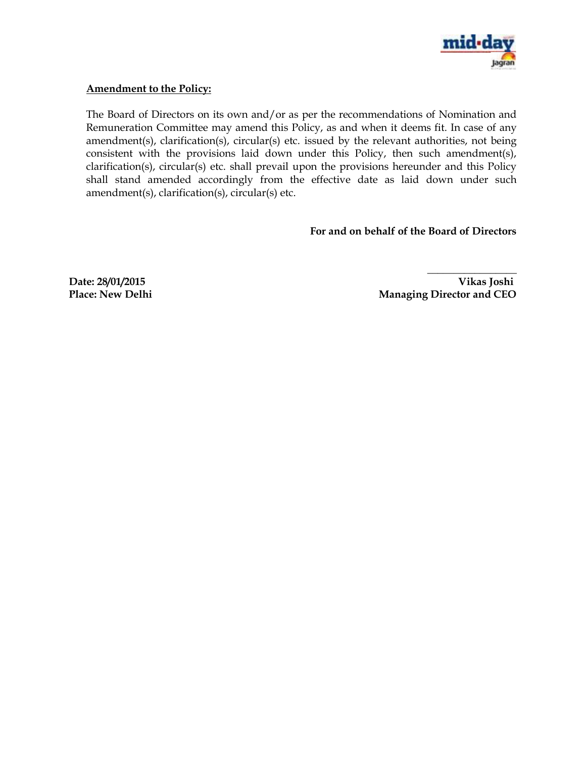

## **Amendment to the Policy:**

The Board of Directors on its own and/or as per the recommendations of Nomination and Remuneration Committee may amend this Policy, as and when it deems fit. In case of any amendment(s), clarification(s), circular(s) etc. issued by the relevant authorities, not being consistent with the provisions laid down under this Policy, then such amendment(s), clarification(s), circular(s) etc. shall prevail upon the provisions hereunder and this Policy shall stand amended accordingly from the effective date as laid down under such amendment(s), clarification(s), circular(s) etc.

# **For and on behalf of the Board of Directors**

**Date: 28/01/2015 Vikas Joshi** Place: New Delhi Managing Director and CEO

**\_\_\_\_\_\_\_\_\_\_\_\_\_\_\_\_\_**